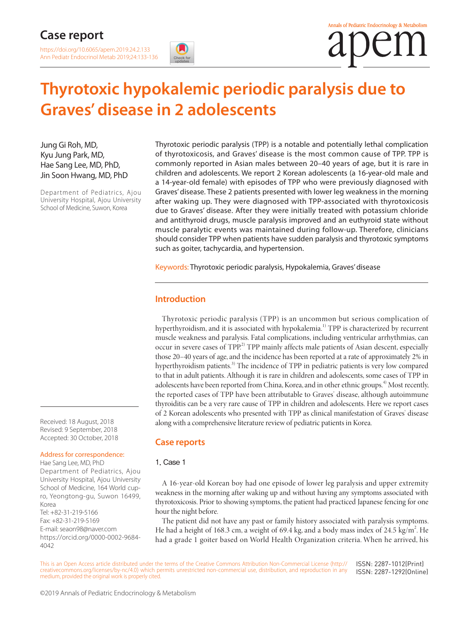### **Case report**

<https://doi.org/10.6065/apem.2019.24.2.133> Ann Pediatr Endocrinol Metab 2019;24:133-136



# **Thyrotoxic hypokalemic periodic paralysis due to Graves' disease in 2 adolescents**

Jung Gi Roh, MD, Kyu Jung Park, MD, Hae Sang Lee, MD, PhD, Jin Soon Hwang, MD, PhD

Department of Pediatrics, Ajou University Hospital, Ajou University School of Medicine, Suwon, Korea

Thyrotoxic periodic paralysis (TPP) is a notable and potentially lethal complication of thyrotoxicosis, and Graves' disease is the most common cause of TPP. TPP is commonly reported in Asian males between 20–40 years of age, but it is rare in children and adolescents. We report 2 Korean adolescents (a 16-year-old male and a 14-year-old female) with episodes of TPP who were previously diagnosed with Graves' disease. These 2 patients presented with lower leg weakness in the morning after waking up. They were diagnosed with TPP-associated with thyrotoxicosis due to Graves' disease. After they were initially treated with potassium chloride and antithyroid drugs, muscle paralysis improved and an euthyroid state without muscle paralytic events was maintained during follow-up. Therefore, clinicians should consider TPP when patients have sudden paralysis and thyrotoxic symptoms such as goiter, tachycardia, and hypertension.

Keywords: Thyrotoxic periodic paralysis, Hypokalemia, Graves' disease

#### **Introduction**

Thyrotoxic periodic paralysis (TPP) is an uncommon but serious complication of hyperthyroidism, and it is associated with hypokalemia.<sup>1)</sup> TPP is characterized by recurrent muscle weakness and paralysis. Fatal complications, including ventricular arrhythmias, can occur in severe cases of TPP.<sup>2)</sup> TPP mainly affects male patients of Asian descent, especially those 20–40 years of age, and the incidence has been reported at a rate of approximately 2% in hyperthyroidism patients.<sup>3)</sup> The incidence of TPP in pediatric patients is very low compared to that in adult patients. Although it is rare in children and adolescents, some cases of TPP in adolescents have been reported from China, Korea, and in other ethnic groups.<sup>4)</sup> Most recently, the reported cases of TPP have been attributable to Graves' disease, although autoimmune thyroiditis can be a very rare cause of TPP in children and adolescents. Here we report cases of 2 Korean adolescents who presented with TPP as clinical manifestation of Graves' disease along with a comprehensive literature review of pediatric patients in Korea.

Received: 18 August, 2018 Revised: 9 September, 2018 Accepted: 30 October, 2018

#### Address for correspondence:

Hae Sang Lee, MD, PhD Department of Pediatrics, Ajou University Hospital, Ajou University School of Medicine, 164 World cupro, Yeongtong-gu, Suwon 16499, Korea Tel: +82-31-219-5166 Fax: +82-31-219-5169 E-mail: seaon98@naver.com [https://orcid.org/0000-0002-9684-](https://orcid.org/0000-0002-9684-4042) [4042](https://orcid.org/0000-0002-9684-4042)

#### **Case reports**

#### 1. Case 1

A 16-year-old Korean boy had one episode of lower leg paralysis and upper extremity weakness in the morning after waking up and without having any symptoms associated with thyrotoxicosis. Prior to showing symptoms, the patient had practiced Japanese fencing for one hour the night before.

The patient did not have any past or family history associated with paralysis symptoms. He had a height of 168.3 cm, a weight of 69.4 kg, and a body mass index of 24.5 kg/m<sup>2</sup>. He had a grade 1 goiter based on World Health Organization criteria. When he arrived, his

This is an Open Access article distributed under the terms of the Creative Commons Attribution Non-Commercial License ([http://](http://creativecommons.org/licenses/by-nc/4.0) [creativecommons.org/licenses/by-nc/4.0\)](http://creativecommons.org/licenses/by-nc/4.0) which permits unrestricted non-commercial use, distribution, and reproduction in any medium, provided the original work is properly cited. ISSN: 2287-1012(Print) ISSN: 2287-1292(Online)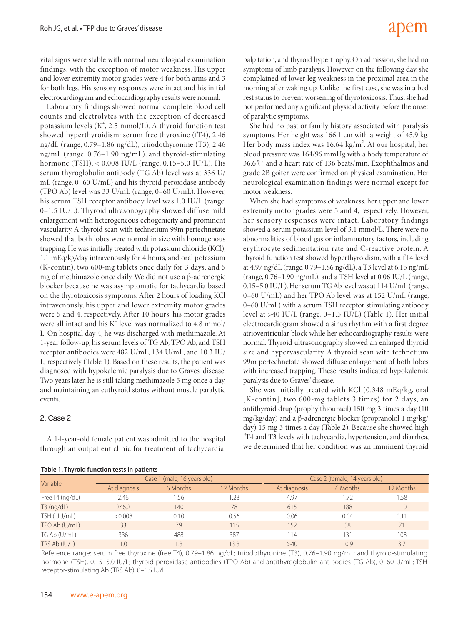vital signs were stable with normal neurological examination findings, with the exception of motor weakness. His upper and lower extremity motor grades were 4 for both arms and 3 for both legs. His sensory responses were intact and his initial electrocardiogram and echocardiography results were normal.

Laboratory findings showed normal complete blood cell counts and electrolytes with the exception of decreased potassium levels (K<sup>+</sup>, 2.5 mmol/L). A thyroid function test showed hyperthyroidism: serum free thyroxine (fT4), 2.46 ng/dL (range, 0.79–1.86 ng/dL), triiodothyronine (T3), 2.46 ng/mL (range, 0.76–1.90 ng/mL), and thyroid-stimulating hormone (TSH), < 0.008 IU/L (range, 0.15–5.0 IU/L). His serum thyroglobulin antibody (TG Ab) level was at 336 U/ mL (range, 0–60 U/mL) and his thyroid peroxidase antibody (TPO Ab) level was 33 U/mL (range, 0–60 U/mL). However, his serum TSH receptor antibody level was 1.0 IU/L (range, 0–1.5 IU/L). Thyroid ultrasonography showed diffuse mild enlargement with heterogeneous echogenicity and prominent vascularity. A thyroid scan with technetium 99m pertechnetate showed that both lobes were normal in size with homogenous trapping. He was initially treated with potassium chloride (KCl), 1.1 mEq/kg/day intravenously for 4 hours, and oral potassium (K-contin), two 600-mg tablets once daily for 3 days, and 5 mg of methimazole once daily. We did not use a β-adrenergic blocker because he was asymptomatic for tachycardia based on the thyrotoxicosis symptoms. After 2 hours of loading KCl intravenously, his upper and lower extremity motor grades were 5 and 4, respectively. After 10 hours, his motor grades were all intact and his  $K^+$  level was normalized to 4.8 mmol/ L. On hospital day 4, he was discharged with methimazole. At 1-year follow-up, his serum levels of TG Ab, TPO Ab, and TSH receptor antibodies were 482 U/mL, 134 U/mL, and 10.3 IU/ L, respectively (Table 1). Based on these results, the patient was diagnosed with hypokalemic paralysis due to Graves' disease. Two years later, he is still taking methimazole 5 mg once a day, and maintaining an euthyroid status without muscle paralytic events.

#### 2. Case 2

A 14-year-old female patient was admitted to the hospital through an outpatient clinic for treatment of tachycardia,

#### **Table 1. Thyroid function tests in patients**

## adem

palpitation, and thyroid hypertrophy. On admission, she had no symptoms of limb paralysis. However, on the following day, she complained of lower leg weakness in the proximal area in the morning after waking up. Unlike the first case, she was in a bed rest status to prevent worsening of thyrotoxicosis. Thus, she had not performed any significant physical activity before the onset of paralytic symptoms.

She had no past or family history associated with paralysis symptoms. Her height was 166.1 cm with a weight of 45.9 kg. Her body mass index was 16.64 kg/m<sup>2</sup>. At our hospital, her blood pressure was 164/96 mmHg with a body temperature of 36.6℃ and a heart rate of 136 beats/min. Exophthalmos and grade 2B goiter were confirmed on physical examination. Her neurological examination findings were normal except for motor weakness.

When she had symptoms of weakness, her upper and lower extremity motor grades were 5 and 4, respectively. However, her sensory responses were intact. Laboratory findings showed a serum potassium level of 3.1 mmol/L. There were no abnormalities of blood gas or inflammatory factors, including erythrocyte sedimentation rate and C-reactive protein. A thyroid function test showed hyperthyroidism, with a fT4 level at 4.97 ng/dL (range, 0.79–1.86 ng/dL), a T3 level at 6.15 ng/mL (range, 0.76–1.90 ng/mL), and a TSH level at 0.06 IU/L (range, 0.15–5.0 IU/L). Her serum TG Ab level was at 114 U/mL (range, 0–60 U/mL) and her TPO Ab level was at 152 U/mL (range, 0–60 U/mL) with a serum TSH receptor stimulating antibody level at >40 IU/L (range, 0–1.5 IU/L) (Table 1). Her initial electrocardiogram showed a sinus rhythm with a first degree atrioventricular block while her echocardiography results were normal. Thyroid ultrasonography showed an enlarged thyroid size and hypervascularity. A thyroid scan with technetium 99m pertechnetate showed diffuse enlargement of both lobes with increased trapping. These results indicated hypokalemic paralysis due to Graves' disease.

She was initially treated with KCl (0.348 mEq/kg, oral [K-contin], two 600-mg tablets 3 times) for 2 days, an antithyroid drug (prophylthiouracil) 150 mg 3 times a day (10 mg/kg/day) and a β-adrenergic blocker (propranolol 1 mg/kg/ day) 15 mg 3 times a day (Table 2). Because she showed high fT4 and T3 levels with tachycardia, hypertension, and diarrhea, we determined that her condition was an imminent thyroid

| Table 1. Hivroid function tests in patients |              |                             |           |                               |          |           |  |  |  |  |  |
|---------------------------------------------|--------------|-----------------------------|-----------|-------------------------------|----------|-----------|--|--|--|--|--|
|                                             |              | Case 1 (male, 16 years old) |           | Case 2 (female, 14 years old) |          |           |  |  |  |  |  |
| Variable                                    | At diagnosis | 6 Months                    | 12 Months | At diagnosis                  | 6 Months | 12 Months |  |  |  |  |  |
| Free T4 (ng/dL)                             | 2.46         | 1.56                        | .23       | 4.97                          | 1.72     | 1.58      |  |  |  |  |  |
| $T3$ (ng/dL)                                | 246.2        | 140                         | 78        | 615                           | 188      | 110       |  |  |  |  |  |
| TSH (µIU/mL)                                | &0.008       | 0.10                        | 0.56      | 0.06                          | 0.04     | 0.11      |  |  |  |  |  |
| TPO Ab (U/mL)                               | 33           | 79                          | 115       | 152                           | 58       | 71        |  |  |  |  |  |
| TG Ab (U/mL)                                | 336          | 488                         | 387       | 114                           | 31       | 108       |  |  |  |  |  |
| TRS Ab (IU/L)                               | $\Omega$ .   | 1.3                         | 133       | >40                           | 10.9     | 3.7       |  |  |  |  |  |

Reference range: serum free thyroxine (free T4), 0.79–1.86 ng/dL; triiodothyronine (T3), 0.76–1.90 ng/mL; and thyroid-stimulating hormone (TSH), 0.15–5.0 IU/L; thyroid peroxidase antibodies (TPO Ab) and antithyroglobulin antibodies (TG Ab), 0–60 U/mL; TSH receptor-stimulating Ab (TRS Ab), 0–1.5 IU/L.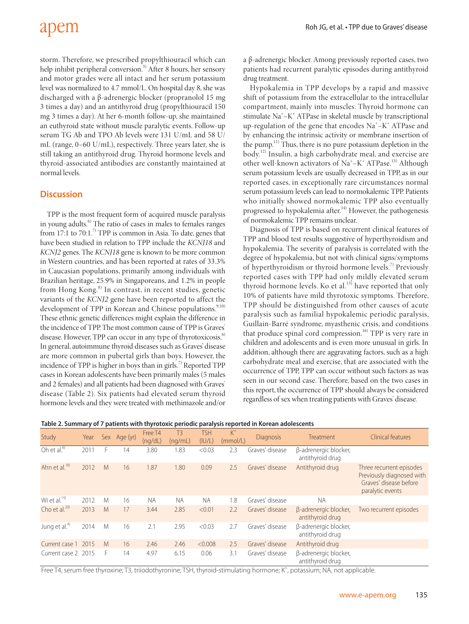### apem

storm. Therefore, we prescribed propylthiouracil which can help inhibit peripheral conversion.<sup>5)</sup> After 8 hours, her sensory and motor grades were all intact and her serum potassium level was normalized to 4.7 mmol/L. On hospital day 8, she was discharged with a β-adrenergic blocker (propranolol 15 mg 3 times a day) and an antithyroid drug (propylthiouracil 150 mg 3 times a day). At her 6-month follow-up, she maintained an euthyroid state without muscle paralytic events. Follow-up serum TG Ab and TPO Ab levels were 131 U/mL and 58 U/ mL (range, 0–60 U/mL), respectively. Three years later, she is still taking an antithyroid drug. Thyroid hormone levels and thyroid-associated antibodies are constantly maintained at normal levels.

#### **Discussion**

TPP is the most frequent form of acquired muscle paralysis in young adults.<sup>6)</sup> The ratio of cases in males to females ranges from 17:1 to 70:1.<sup>7)</sup> TPP is common in Asia. To date, genes that have been studied in relation to TPP include the *KCNJ18* and *KCNJ2* genes. The *KCNJ18* gene is known to be more common in Western countries, and has been reported at rates of 33.3% in Caucasian populations, primarily among individuals with Brazilian heritage, 25.9% in Singaporeans, and 1.2% in people from Hong Kong.<sup>8)</sup> In contrast, in recent studies, genetic variants of the *KCNJ2* gene have been reported to affect the development of TPP in Korean and Chinese populations.<sup>9,10)</sup> These ethnic genetic differences might explain the difference in the incidence of TPP. The most common cause of TPP is Graves' disease. However, TPP can occur in any type of thyrotoxicosis.<sup>6)</sup> In general, autoimmune thyroid diseases such as Graves' disease are more common in pubertal girls than boys. However, the incidence of TPP is higher in boys than in girls.<sup>7)</sup> Reported TPP cases in Korean adolescents have been primarily males (5 males and 2 females) and all patients had been diagnosed with Graves' disease (Table 2). Six patients had elevated serum thyroid hormone levels and they were treated with methimazole and/or

a β-adrenergic blocker. Among previously reported cases, two patients had recurrent paralytic episodes during antithyroid drug treatment.

Hypokalemia in TPP develops by a rapid and massive shift of potassium from the extracellular to the intracellular compartment, mainly into muscles. Thyroid hormone can stimulate Na<sup>+</sup>-K<sup>+</sup> ATPase in skeletal muscle by transcriptional up-regulation of the gene that encodes Na<sup>+</sup>-K<sup>+</sup> ATPase and by enhancing the intrinsic activity or membrane insertion of the pump.11) Thus, there is no pure potassium depletion in the body.12) Insulin, a high carbohydrate meal, and exercise are other well-known activators of Na<sup>+</sup>-K<sup>+</sup> ATPase.<sup>13)</sup> Although serum potassium levels are usually decreased in TPP, as in our reported cases, in exceptionally rare circumstances normal serum potassium levels can lead to normokalemic TPP. Patients who initially showed normokalemic TPP also eventually progressed to hypokalemia after.<sup>14)</sup> However, the pathogenesis of normokalemic TPP remains unclear.

Diagnosis of TPP is based on recurrent clinical features of TPP and blood test results suggestive of hyperthyroidism and hypokalemia. The severity of paralysis is correlated with the degree of hypokalemia, but not with clinical signs/symptoms of hyperthyroidism or thyroid hormone levels.<sup>7)</sup> Previously reported cases with TPP had only mildly elevated serum thyroid hormone levels. Ko et al.<sup>15)</sup> have reported that only 10% of patients have mild thyrotoxic symptoms. Therefore, TPP should be distinguished from other causes of acute paralysis such as familial hypokalemic periodic paralysis, Guillain-Barré syndrome, myasthenic crisis, and conditions that produce spinal cord compression.16) TPP is very rare in children and adolescents and is even more unusual in girls. In addition, although there are aggravating factors, such as a high carbohydrate meal and exercise, that are associated with the occurrence of TPP, TPP can occur without such factors as was seen in our second case. Therefore, based on the two cases in this report, the occurrence of TPP should always be considered regardless of sex when treating patients with Graves' disease.

| Study                     | Year |   | Sex Age (yr) | Free T4<br>(nq/dL) | T <sub>3</sub><br>(nq/mL) | <b>TSH</b><br>(IU/L) | $K^+$<br>(mmol/L) | <b>Diagnosis</b> | Treatment                                 | Clinical features                                                                                   |
|---------------------------|------|---|--------------|--------------------|---------------------------|----------------------|-------------------|------------------|-------------------------------------------|-----------------------------------------------------------------------------------------------------|
| Oh et al. $\overline{6}$  | 2011 | F | 14           | 3.80               | 1.83                      | < 0.03               | 2.3               | Graves' disease  | β-adrenergic blocker,<br>antithyroid drug |                                                                                                     |
| Ahn et al. <sup>18)</sup> | 2012 | M | 16           | 1.87               | 1.80                      | 0.09                 | 2.5               | Graves' disease  | Antithyroid drug                          | Three recurrent episodes<br>Previously diagnosed with<br>Graves' disease before<br>paralytic events |
| Wi et al. $19$            | 2012 | M | 16           | <b>NA</b>          | <b>NA</b>                 | <b>NA</b>            | 1.8               | Graves' disease  | <b>NA</b>                                 |                                                                                                     |
| Cho et al. $^{20}$        | 2013 | M | 17           | 3.44               | 2.85                      | < 0.01               | 2.2               | Graves' disease  | B-adrenergic blocker,<br>antithyroid drug | Two recurrent episodes                                                                              |
| Jung et al. <sup>4)</sup> | 2014 | M | 16           | 2.1                | 2.95                      | < 0.03               | 2.7               | Graves' disease  | β-adrenergic blocker,<br>antithyroid drug |                                                                                                     |
| Current case 1            | 2015 | M | 16           | 2.46               | 2.46                      | < 0.008              | 2.5               | Graves' disease  | Antithyroid drug                          |                                                                                                     |
| Current case 2 2015       |      | F | 14           | 4.97               | 6.15                      | 0.06                 | 3.1               | Graves' disease  | β-adrenergic blocker,<br>antithyroid drug |                                                                                                     |

Free T4, serum free thyroxine; T3, triiodothyronine; TSH, thyroid-stimulating hormone; K<sup>+</sup>, potassium; NA, not applicable.